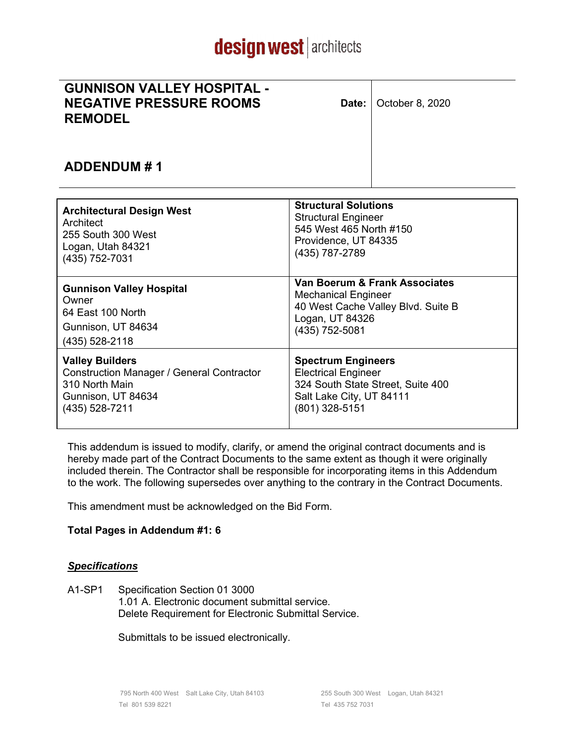# design west architects

| <b>GUNNISON VALLEY HOSPITAL -</b> |  |
|-----------------------------------|--|
| <b>NEGATIVE PRESSURE ROOMS</b>    |  |
| <b>REMODEL</b>                    |  |

**Date:** | October 8, 2020

### **ADDENDUM # 1**

| <b>Architectural Design West</b>                 | <b>Structural Solutions</b>        |  |  |  |  |
|--------------------------------------------------|------------------------------------|--|--|--|--|
| Architect                                        | <b>Structural Engineer</b>         |  |  |  |  |
| 255 South 300 West                               | 545 West 465 North #150            |  |  |  |  |
| Logan, Utah 84321                                | Providence, UT 84335               |  |  |  |  |
| (435) 752-7031                                   | (435) 787-2789                     |  |  |  |  |
| <b>Gunnison Valley Hospital</b>                  | Van Boerum & Frank Associates      |  |  |  |  |
| Owner                                            | <b>Mechanical Engineer</b>         |  |  |  |  |
| 64 East 100 North                                | 40 West Cache Valley Blvd. Suite B |  |  |  |  |
| Gunnison, UT 84634                               | Logan, UT 84326                    |  |  |  |  |
| (435) 528-2118                                   | (435) 752-5081                     |  |  |  |  |
| <b>Valley Builders</b>                           | <b>Spectrum Engineers</b>          |  |  |  |  |
| <b>Construction Manager / General Contractor</b> | <b>Electrical Engineer</b>         |  |  |  |  |
| 310 North Main                                   | 324 South State Street, Suite 400  |  |  |  |  |
| Gunnison, UT 84634                               | Salt Lake City, UT 84111           |  |  |  |  |
| (435) 528-7211                                   | (801) 328-5151                     |  |  |  |  |

This addendum is issued to modify, clarify, or amend the original contract documents and is hereby made part of the Contract Documents to the same extent as though it were originally included therein. The Contractor shall be responsible for incorporating items in this Addendum to the work. The following supersedes over anything to the contrary in the Contract Documents.

This amendment must be acknowledged on the Bid Form.

#### **Total Pages in Addendum #1: 6**

#### *Specifications*

A1-SP1 Specification Section 01 3000 1.01 A. Electronic document submittal service. Delete Requirement for Electronic Submittal Service.

Submittals to be issued electronically.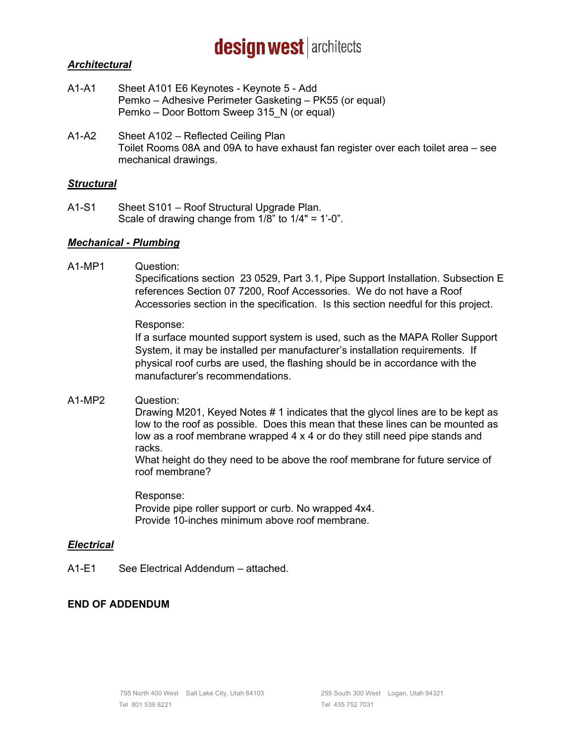## design west architects

#### *Architectural*

- A1-A1 Sheet A101 E6 Keynotes Keynote 5 Add Pemko – Adhesive Perimeter Gasketing – PK55 (or equal) Pemko – Door Bottom Sweep 315\_N (or equal)
- A1-A2 Sheet A102 Reflected Ceiling Plan Toilet Rooms 08A and 09A to have exhaust fan register over each toilet area – see mechanical drawings.

#### *Structural*

A1-S1 Sheet S101 – Roof Structural Upgrade Plan. Scale of drawing change from 1/8" to 1/4" = 1'-0".

#### *Mechanical - Plumbing*

A1-MP1 Question:

Specifications section 23 0529, Part 3.1, Pipe Support Installation. Subsection E references Section 07 7200, Roof Accessories. We do not have a Roof Accessories section in the specification. Is this section needful for this project.

#### Response:

If a surface mounted support system is used, such as the MAPA Roller Support System, it may be installed per manufacturer's installation requirements. If physical roof curbs are used, the flashing should be in accordance with the manufacturer's recommendations.

A1-MP2 Question:

Drawing M201, Keyed Notes # 1 indicates that the glycol lines are to be kept as low to the roof as possible. Does this mean that these lines can be mounted as low as a roof membrane wrapped 4 x 4 or do they still need pipe stands and racks.

What height do they need to be above the roof membrane for future service of roof membrane?

Response: Provide pipe roller support or curb. No wrapped 4x4. Provide 10-inches minimum above roof membrane.

#### *Electrical*

A1-E1 See Electrical Addendum – attached.

#### **END OF ADDENDUM**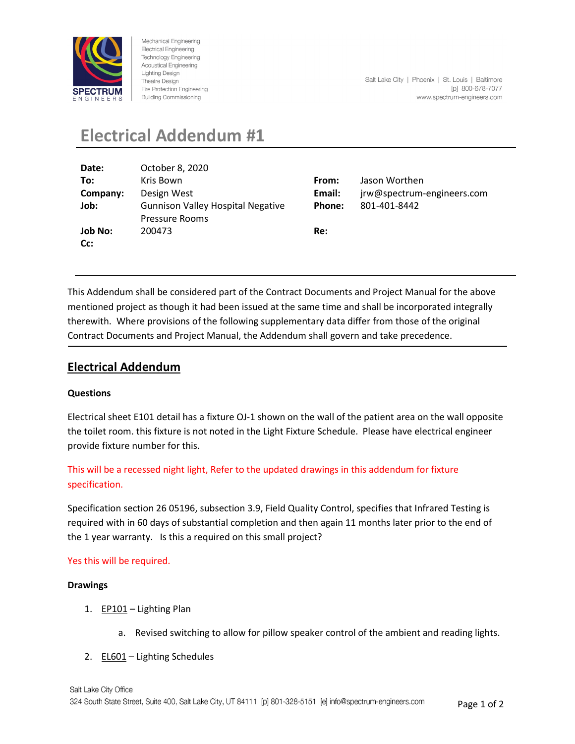

Mechanical Engineering **Electrical Engineering** Technology Engineering **Acoustical Engineering Lighting Design** Theatre Design Fire Protection Engineering **Building Commissioning** 

## **Electrical Addendum #1**

| Date:    | October 8, 2020                          |        |                            |
|----------|------------------------------------------|--------|----------------------------|
| To:      | Kris Bown                                | From:  | Jason Worthen              |
| Company: | Design West                              | Email: | jrw@spectrum-engineers.com |
| Job:     | <b>Gunnison Valley Hospital Negative</b> | Phone: | 801-401-8442               |
|          | <b>Pressure Rooms</b>                    |        |                            |
| Job No:  | 200473                                   | Re:    |                            |
| Cc:      |                                          |        |                            |

This Addendum shall be considered part of the Contract Documents and Project Manual for the above mentioned project as though it had been issued at the same time and shall be incorporated integrally therewith. Where provisions of the following supplementary data differ from those of the original Contract Documents and Project Manual, the Addendum shall govern and take precedence.

#### **Electrical Addendum**

#### **Questions**

Electrical sheet E101 detail has a fixture OJ-1 shown on the wall of the patient area on the wall opposite the toilet room. this fixture is not noted in the Light Fixture Schedule. Please have electrical engineer provide fixture number for this.

This will be a recessed night light, Refer to the updated drawings in this addendum for fixture specification.

Specification section 26 05196, subsection 3.9, Field Quality Control, specifies that Infrared Testing is required with in 60 days of substantial completion and then again 11 months later prior to the end of the 1 year warranty. Is this a required on this small project?

#### Yes this will be required.

#### **Drawings**

- 1. EP101 Lighting Plan
	- a. Revised switching to allow for pillow speaker control of the ambient and reading lights.
- 2. EL601 Lighting Schedules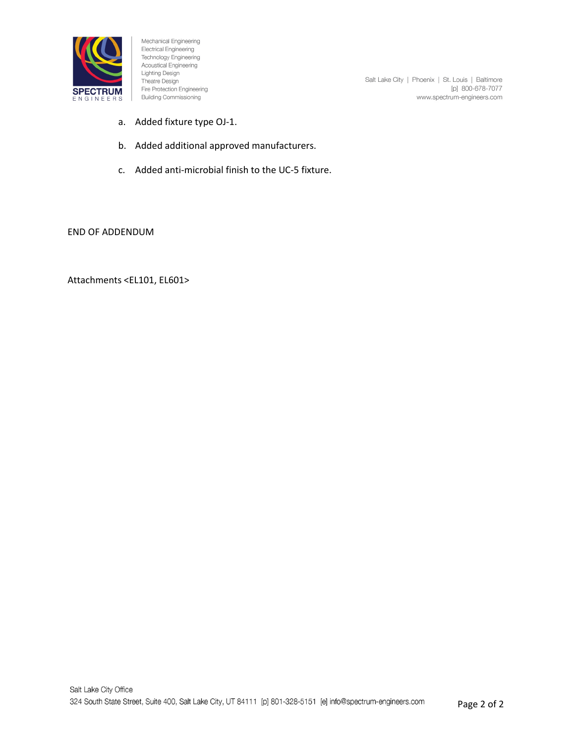

Mechanical Engineering Electrical Engineering Technology Engineering **Acoustical Engineering** Lighting Design Theatre Design Fire Protection Engineering **Building Commissioning** 

Salt Lake City | Phoenix | St. Louis | Baltimore [p] 800-678-7077 www.spectrum-engineers.com

- a. Added fixture type OJ-1.
- b. Added additional approved manufacturers.
- c. Added anti-microbial finish to the UC-5 fixture.

END OF ADDENDUM

Attachments <EL101, EL601>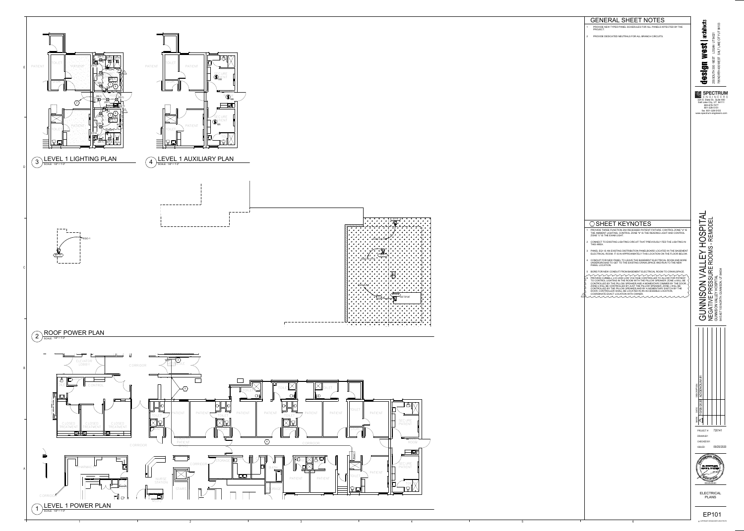## OSHEET KEYNOTES 1 PROVIDE THREE FUNCTION 2X4 RECESSED PATIENT FIXTURE. CONTROL ZONE "a" IS THE AMBIENT LIGHTING, CONTROL ZONE "b" IS THE READING LIGHT AND CONTROL ZONE "c" IS THE EXAM LIGHT.





1

2

3

4

5

- PROVIDE NEW TYPED PANEL SCHEDULES FOR ALL PANELS AFFECTED BY THE PROJECT.
- 2 PROVIDE DEDICATED NEUTRALS FOR ALL BRANCH CIRCUITS .

# GENERAL SHEET NOTES

- 2 CONNECT TO EXISTING LIGHTING CIRCUIT THAT PREVIOUSLY FED THE LIGHTING IN THIS AREA.
- 3 PANEL EQ1 IS AN EXISTING DISTRIBUTION PANELBOARD LOCATED IN THE BASEMENT ELECTRICAL ROOM. IT IS IN APPROXIMATELY THIS LOCATION ON THE FLOOR BELOW.
- 4 CONDUIT FOR NEW PANEL TO LEAVE THE BASEMENT ELECTRICAL ROOM AND BORE UNDERGROUND TO GET TO THE EXISTING CRAWLSPACE AND RUN TO THE NEW PANEL LOCATION.
- 5 BORE FOR NEW CONDUIT FROM BASEMENT ELECTRICAL ROOM TO CRAWLSPACE. ment ment ment ment ment ment 6 PROVIDE CURBELL LVC-2000 LOW VOLTAGE CONTROLLER TO ALLOW FOR PATIENT
- TO CONTROL LIGHTING IN THE ROOM WITH THE PILLOW SPEAKER. ZONE a WILL BE CONTROLLED BY THE PILLOW SPEAKER AND A MOMENTARY DIMMER BY THE DOOR, ZONE b WILL BE CONTROLLED BY JUST THE PILLOW SPEAKER, ZONE c WILL BE CONTROLLED BY THE PILLOW SPEAKER AND BY A MOMENTARY SWITCH BY THE DOOR. CONTROLLER SHALL BE LOCATED IN AN ACCESSIBLE LOCATION,

COORDINATE EXACT LOCATION WITH OWNER.

1